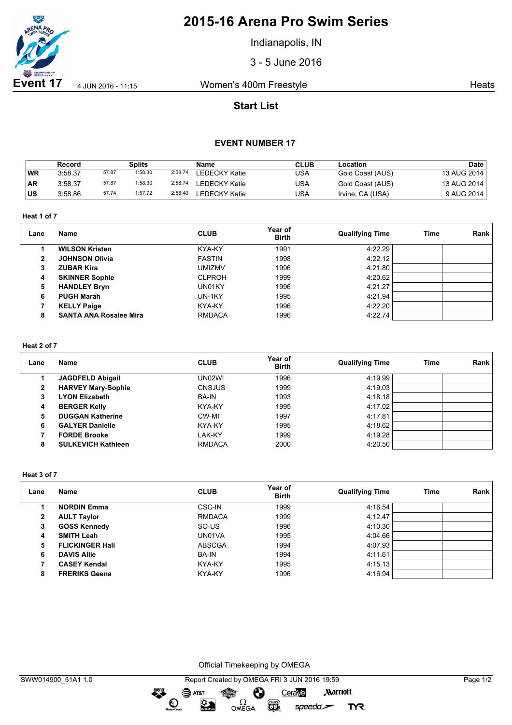

## **2015-16 Arena Pro Swim Series**

Indianapolis, IN

3 - 5 June 2016

**Event 17** 4 JUN 2016 - 11:15 Women's 400m Freestyle **Heats** Heats

## **Start List**

### **EVENT NUMBER 17**

|           | Record  |       | Splits  |         | Name                 | <b>CLUB</b> | Location         | Date        |
|-----------|---------|-------|---------|---------|----------------------|-------------|------------------|-------------|
| WR        | 3:58.37 | 57.87 | 1:58.30 | 2:58.74 | <b>LEDECKY Katie</b> | USA         | Gold Coast (AUS) | 13 AUG 2014 |
| <b>AR</b> | 3:58.37 | 57.87 | 1:58.30 | 2:58.74 | LEDECKY Katie        | USA         | Gold Coast (AUS) | 13 AUG 2014 |
| ∣us       | 3:58.86 | 57.74 | 1:57.72 | 2:58.40 | <b>LEDECKY Katie</b> | USA         | Irvine, CA (USA) | 9 AUG 2014  |

**Heat 1 of 7**

| Lane         | Name                          | <b>CLUB</b>   | Year of<br><b>Birth</b> | <b>Qualifying Time</b> | Time | Rank |
|--------------|-------------------------------|---------------|-------------------------|------------------------|------|------|
|              | <b>WILSON Kristen</b>         | KYA-KY        | 1991                    | 4:22.29                |      |      |
| $\mathbf{2}$ | <b>JOHNSON Olivia</b>         | <b>FASTIN</b> | 1998                    | 4:22.12                |      |      |
| 3            | <b>ZUBAR Kira</b>             | <b>UMIZMV</b> | 1996                    | 4:21.80                |      |      |
| 4            | <b>SKINNER Sophie</b>         | <b>CLPROH</b> | 1999                    | 4:20.62                |      |      |
| 5            | <b>HANDLEY Bryn</b>           | UN01KY        | 1996                    | 4:21.27                |      |      |
| 6            | <b>PUGH Marah</b>             | UN-1KY        | 1995                    | 4:21.94                |      |      |
|              | <b>KELLY Paige</b>            | KYA-KY        | 1996                    | 4:22.20                |      |      |
| 8            | <b>SANTA ANA Rosalee Mira</b> | <b>RMDACA</b> | 1996                    | 4:22.74                |      |      |

#### **Heat 2 of 7**

| Lane | Name                      | <b>CLUB</b>   | Year of<br><b>Birth</b> | <b>Qualifying Time</b> | <b>Time</b> | Rank |
|------|---------------------------|---------------|-------------------------|------------------------|-------------|------|
|      | <b>JAGDFELD Abigail</b>   | UN02WI        | 1996                    | 4:19.99                |             |      |
| 2    | <b>HARVEY Mary-Sophie</b> | <b>CNSJUS</b> | 1999                    | 4:19.03                |             |      |
| з    | <b>LYON Elizabeth</b>     | <b>BA-IN</b>  | 1993                    | 4:18.18                |             |      |
| 4    | <b>BERGER Kelly</b>       | KYA-KY        | 1995                    | 4:17.02                |             |      |
| 5    | <b>DUGGAN Katherine</b>   | CW-MI         | 1997                    | 4:17.81                |             |      |
| 6    | <b>GALYER Danielle</b>    | KYA-KY        | 1995                    | 4:18.62                |             |      |
|      | <b>FORDE Brooke</b>       | LAK-KY        | 1999                    | 4:19.28                |             |      |
| 8    | <b>SULKEVICH Kathleen</b> | <b>RMDACA</b> | 2000                    | 4:20.50                |             |      |

**Heat 3 of 7**

| Lane | Name                   | <b>CLUB</b>   | Year of<br><b>Birth</b> | <b>Qualifying Time</b> | <b>Time</b> | Rank |
|------|------------------------|---------------|-------------------------|------------------------|-------------|------|
|      | <b>NORDIN Emma</b>     | CSC-IN        | 1999                    | 4:16.54                |             |      |
| 2    | <b>AULT Taylor</b>     | <b>RMDACA</b> | 1999                    | 4:12.47                |             |      |
| 3    | <b>GOSS Kennedy</b>    | SO-US         | 1996                    | 4:10.30                |             |      |
| 4    | <b>SMITH Leah</b>      | UN01VA        | 1995                    | 4:04.66                |             |      |
| 5    | <b>FLICKINGER Hall</b> | <b>ABSCGA</b> | 1994                    | 4:07.93                |             |      |
| 6    | <b>DAVIS Allie</b>     | <b>BA-IN</b>  | 1994                    | 4:11.61                |             |      |
|      | <b>CASEY Kendal</b>    | KYA-KY        | 1995                    | 4:15.13                |             |      |
| 8    | <b>FRERIKS Geena</b>   | KYA-KY        | 1996                    | 4:16.94                |             |      |

Official Timekeeping by OMEGA

dreng: